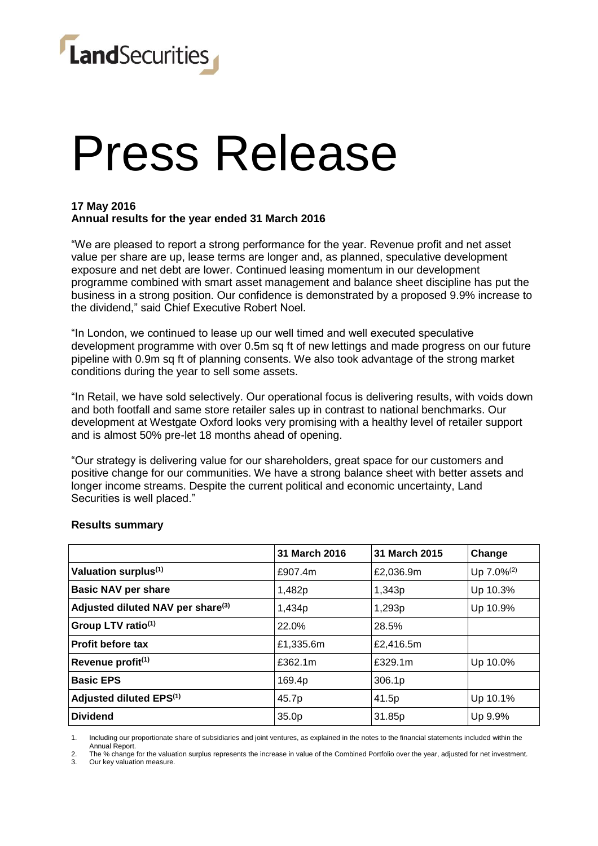

# Press Release

### **17 May 2016 Annual results for the year ended 31 March 2016**

"We are pleased to report a strong performance for the year. Revenue profit and net asset value per share are up, lease terms are longer and, as planned, speculative development exposure and net debt are lower. Continued leasing momentum in our development programme combined with smart asset management and balance sheet discipline has put the business in a strong position. Our confidence is demonstrated by a proposed 9.9% increase to the dividend," said Chief Executive Robert Noel.

"In London, we continued to lease up our well timed and well executed speculative development programme with over 0.5m sq ft of new lettings and made progress on our future pipeline with 0.9m sq ft of planning consents. We also took advantage of the strong market conditions during the year to sell some assets.

"In Retail, we have sold selectively. Our operational focus is delivering results, with voids down and both footfall and same store retailer sales up in contrast to national benchmarks. Our development at Westgate Oxford looks very promising with a healthy level of retailer support and is almost 50% pre-let 18 months ahead of opening.

"Our strategy is delivering value for our shareholders, great space for our customers and positive change for our communities. We have a strong balance sheet with better assets and longer income streams. Despite the current political and economic uncertainty, Land Securities is well placed."

|                                               | 31 March 2016 | 31 March 2015 | Change                 |
|-----------------------------------------------|---------------|---------------|------------------------|
| Valuation surplus <sup>(1)</sup>              | £907.4m       | £2,036.9m     | Up 7.0% <sup>(2)</sup> |
| <b>Basic NAV per share</b>                    | 1,482p        | 1,343p        | Up 10.3%               |
| Adjusted diluted NAV per share <sup>(3)</sup> | 1,434p        | 1,293p        | Up 10.9%               |
| Group LTV ratio <sup>(1)</sup>                | 22.0%         | 28.5%         |                        |
| <b>Profit before tax</b>                      | £1,335.6m     | £2,416.5m     |                        |
| Revenue profit <sup>(1)</sup>                 | £362.1m       | £329.1m       | Up 10.0%               |
| <b>Basic EPS</b>                              | 169.4p        | 306.1p        |                        |
| Adjusted diluted EPS <sup>(1)</sup>           | 45.7p         | 41.5p         | Up 10.1%               |
| <b>Dividend</b>                               | 35.0p         | 31.85p        | Up 9.9%                |

#### **Results summary**

1. Including our proportionate share of subsidiaries and joint ventures, as explained in the notes to the financial statements included within the Annual Report.

2. The % change for the valuation surplus represents the increase in value of the Combined Portfolio over the year, adjusted for net investment.

Our key valuation measure.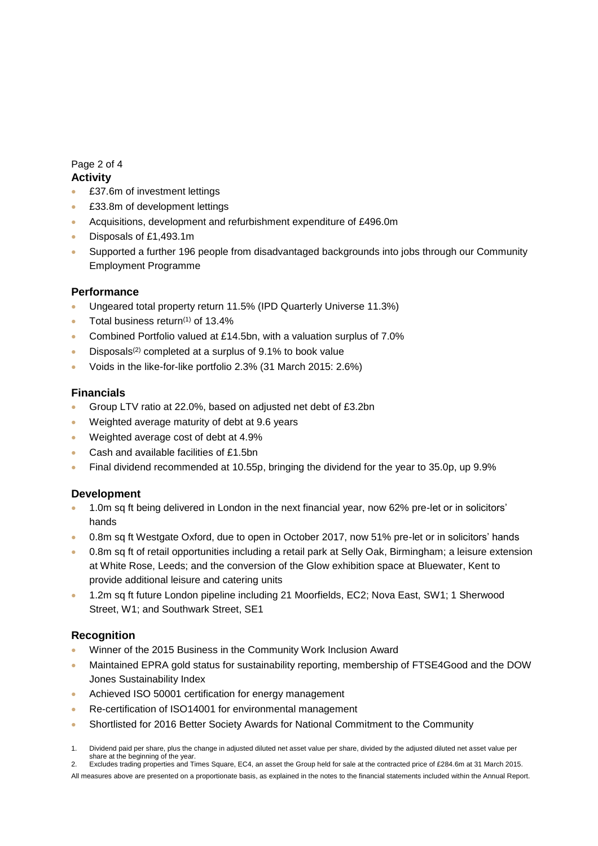# Page 2 of 4

# **Activity**

- £37.6m of investment lettings
- £33.8m of development lettings
- Acquisitions, development and refurbishment expenditure of £496.0m
- Disposals of £1,493.1m
- Supported a further 196 people from disadvantaged backgrounds into jobs through our Community Employment Programme

## **Performance**

- Ungeared total property return 11.5% (IPD Quarterly Universe 11.3%)
- Total business return $(1)$  of 13.4%
- Combined Portfolio valued at £14.5bn, with a valuation surplus of 7.0%
- Disposals<sup>(2)</sup> completed at a surplus of 9.1% to book value
- Voids in the like-for-like portfolio 2.3% (31 March 2015: 2.6%)

### **Financials**

- Group LTV ratio at 22.0%, based on adjusted net debt of £3.2bn
- Weighted average maturity of debt at 9.6 years
- Weighted average cost of debt at 4.9%
- Cash and available facilities of £1.5bn
- Final dividend recommended at 10.55p, bringing the dividend for the year to 35.0p, up 9.9%

### **Development**

- 1.0m sq ft being delivered in London in the next financial year, now 62% pre-let or in solicitors' hands
- 0.8m sq ft Westgate Oxford, due to open in October 2017, now 51% pre-let or in solicitors' hands
- 0.8m sq ft of retail opportunities including a retail park at Selly Oak, Birmingham; a leisure extension at White Rose, Leeds; and the conversion of the Glow exhibition space at Bluewater, Kent to provide additional leisure and catering units
- 1.2m sq ft future London pipeline including 21 Moorfields, EC2; Nova East, SW1; 1 Sherwood Street, W1; and Southwark Street, SE1

### **Recognition**

- Winner of the 2015 Business in the Community Work Inclusion Award
- Maintained EPRA gold status for sustainability reporting, membership of FTSE4Good and the DOW Jones Sustainability Index
- Achieved ISO 50001 certification for energy management
- Re-certification of ISO14001 for environmental management
- Shortlisted for 2016 Better Society Awards for National Commitment to the Community
- 1. Dividend paid per share, plus the change in adjusted diluted net asset value per share, divided by the adjusted diluted net asset value per share at the beginning of the year.

2. Excludes trading properties and Times Square, EC4, an asset the Group held for sale at the contracted price of £284.6m at 31 March 2015.

All measures above are presented on a proportionate basis, as explained in the notes to the financial statements included within the Annual Report.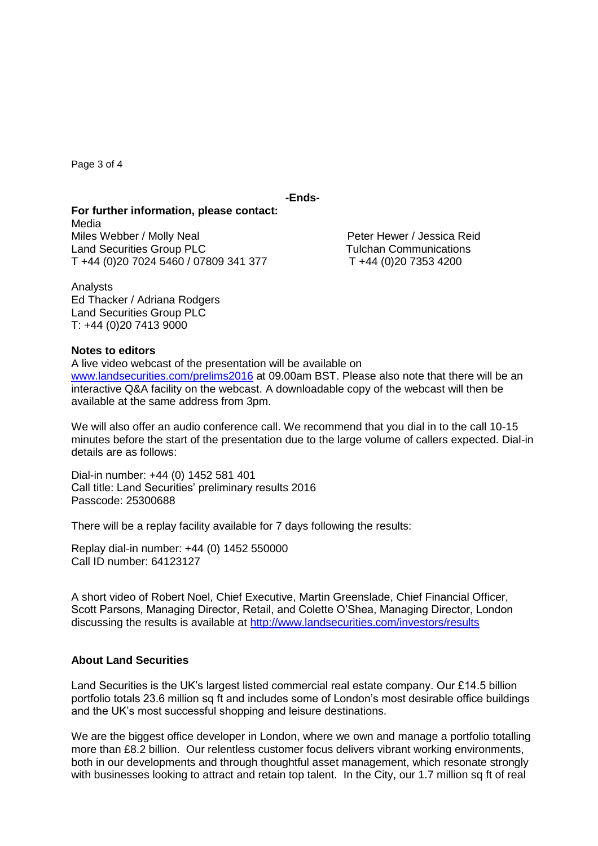Page 3 of 4

**-Ends-**

**For further information, please contact:** Media Miles Webber / Molly Neal **Peter Hewer / Jessica Reid** Land Securities Group PLC<br>
T +44 (0)20 7024 5460 / 07809 341 377 T +44 (0)20 7353 4200 T +44 (0)20 7024 5460 / 07809 341 377

Analysts Ed Thacker / Adriana Rodgers Land Securities Group PLC T: +44 (0)20 7413 9000

#### **Notes to editors**

A live video webcast of the presentation will be available on [www.landsecurities.com/prelims2016](http://www.landsecurities.com/prelims2015) at 09.00am BST. Please also note that there will be an interactive Q&A facility on the webcast. A downloadable copy of the webcast will then be available at the same address from 3pm.

We will also offer an audio conference call. We recommend that you dial in to the call 10-15 minutes before the start of the presentation due to the large volume of callers expected. Dial-in details are as follows:

Dial-in number: +44 (0) 1452 581 401 Call title: Land Securities' preliminary results 2016 Passcode: 25300688

There will be a replay facility available for 7 days following the results:

Replay dial-in number: +44 (0) 1452 550000 Call ID number: 64123127

A short video of Robert Noel, Chief Executive, Martin Greenslade, Chief Financial Officer, Scott Parsons, Managing Director, Retail, and Colette O'Shea, Managing Director, London discussing the results is available at<http://www.landsecurities.com/investors/results>

### **About Land Securities**

Land Securities is the UK's largest listed commercial real estate company. Our £14.5 billion portfolio totals 23.6 million sq ft and includes some of London's most desirable office buildings and the UK's most successful shopping and leisure destinations.

We are the biggest office developer in London, where we own and manage a portfolio totalling more than £8.2 billion. Our relentless customer focus delivers vibrant working environments, both in our developments and through thoughtful asset management, which resonate strongly with businesses looking to attract and retain top talent. In the City, our 1.7 million sq ft of real